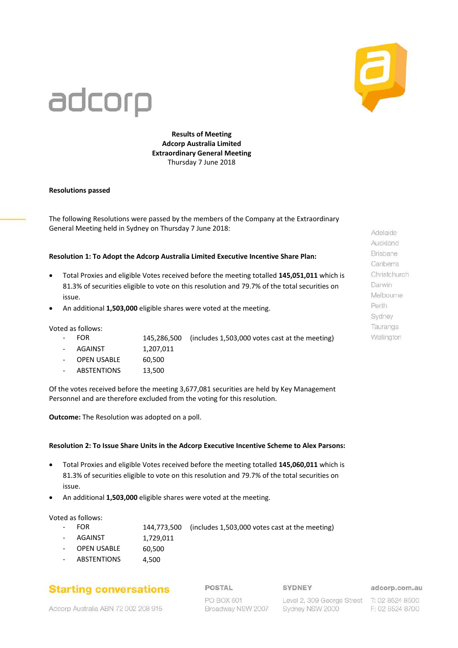

# adcorp

**Results of Meeting Adcorp Australia Limited Extraordinary General Meeting** Thursday 7 June 2018

#### **Resolutions passed**

The following Resolutions were passed by the members of the Company at the Extraordinary General Meeting held in Sydney on Thursday 7 June 2018:

#### **Resolution 1: To Adopt the Adcorp Australia Limited Executive Incentive Share Plan:**

- Total Proxies and eligible Votes received before the meeting totalled **145,051,011** which is 81.3% of securities eligible to vote on this resolution and 79.7% of the total securities on issue.
- An additional **1,503,000** eligible shares were voted at the meeting.

Voted as follows:

- FOR 145,286,500 (includes 1,503,000 votes cast at the meeting)
- AGAINST 1,207,011
- 
- OPEN USABLE 60,500
- ABSTENTIONS 13,500

Of the votes received before the meeting 3,677,081 securities are held by Key Management Personnel and are therefore excluded from the voting for this resolution.

**Outcome:** The Resolution was adopted on a poll.

#### **Resolution 2: To Issue Share Units in the Adcorp Executive Incentive Scheme to Alex Parsons:**

- Total Proxies and eligible Votes received before the meeting totalled **145,060,011** which is 81.3% of securities eligible to vote on this resolution and 79.7% of the total securities on issue.
- An additional **1,503,000** eligible shares were voted at the meeting.

#### Voted as follows:

- FOR 144,773,500 (includes 1,503,000 votes cast at the meeting)
- AGAINST 1,729,011
- OPEN USABLE 60.500
- ABSTENTIONS 4,500

## **Starting conversations**

POSTAL

#### SYDNEY

adcorp.com.au

Adcorp Australia ABN 72 002 208 915

PO BOX 601 Broadway NSW 2007 Level 2, 309 George Street Sydney NSW 2000

T: 02 8524 8500 F: 02 8524 8700

Adelaide Auckland Brisbane Canberra Christchurch Darwin Melbourne Perth Sydney Tauranga Wellington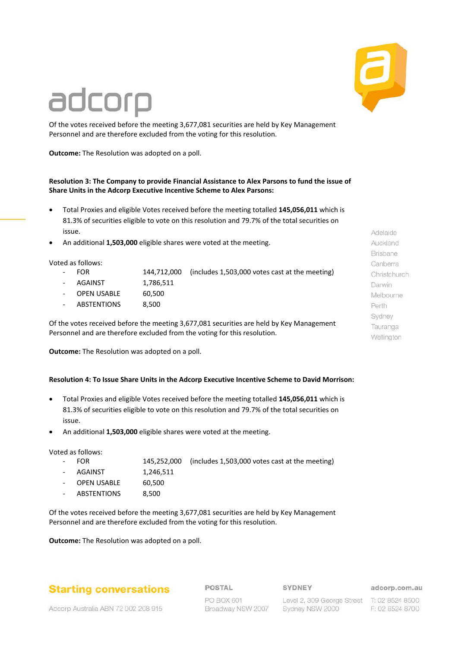

# adcorp

Of the votes received before the meeting 3,677,081 securities are held by Key Management Personnel and are therefore excluded from the voting for this resolution.

**Outcome:** The Resolution was adopted on a poll.

## **Resolution 3: The Company to provide Financial Assistance to Alex Parsons to fund the issue of Share Units in the Adcorp Executive Incentive Scheme to Alex Parsons:**

- Total Proxies and eligible Votes received before the meeting totalled **145,056,011** which is 81.3% of securities eligible to vote on this resolution and 79.7% of the total securities on issue.
- An additional **1,503,000** eligible shares were voted at the meeting.

Voted as follows:

- 
- FOR 144,712,000 (includes 1,503,000 votes cast at the meeting) AGAINST 1,786,511
- OPEN USABLE 60.500
- ABSTENTIONS 8.500

Of the votes received before the meeting 3,677,081 securities are held by Key Management Personnel and are therefore excluded from the voting for this resolution.

**Outcome:** The Resolution was adopted on a poll.

## **Resolution 4: To Issue Share Units in the Adcorp Executive Incentive Scheme to David Morrison:**

- Total Proxies and eligible Votes received before the meeting totalled **145,056,011** which is 81.3% of securities eligible to vote on this resolution and 79.7% of the total securities on issue.
- An additional **1,503,000** eligible shares were voted at the meeting.

Voted as follows:

| - FOR         |           | 145,252,000 (includes 1,503,000 votes cast at the meeting) |
|---------------|-----------|------------------------------------------------------------|
| - AGAINST     | 1,246,511 |                                                            |
| - OPEN USABLE | 60.500    |                                                            |
| - ABSTENTIONS | 8.500     |                                                            |

Of the votes received before the meeting 3,677,081 securities are held by Key Management Personnel and are therefore excluded from the voting for this resolution.

**Outcome:** The Resolution was adopted on a poll.

# **Starting conversations**

POSTAL

### SYDNEY

adcorp.com.au

Adcorp Australia ABN 72 002 208 915

PO BOX 601 Broadway NSW 2007

Level 2, 309 George Street T: 02 8524 8500 Sydney NSW 2000

F: 02 8524 8700

Adelaide Auckland Brisbane Canberra Christchurch Darwin Melbourne Perth Sydney Tauranga Wellington